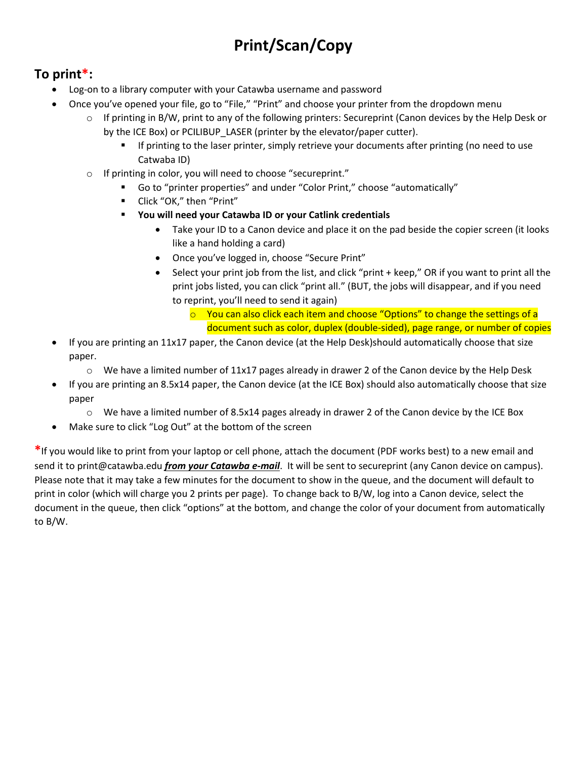## **Print/Scan/Copy**

## **To print\*:**

- Log-on to a library computer with your Catawba username and password
- Once you've opened your file, go to "File," "Print" and choose your printer from the dropdown menu
	- $\circ$  If printing in B/W, print to any of the following printers: Secureprint (Canon devices by the Help Desk or by the ICE Box) or PCILIBUP\_LASER (printer by the elevator/paper cutter).
		- **If printing to the laser printer, simply retrieve your documents after printing (no need to use** Catwaba ID)
	- o If printing in color, you will need to choose "secureprint."
		- Go to "printer properties" and under "Color Print," choose "automatically"
		- Click "OK," then "Print"
		- **You will need your Catawba ID or your Catlink credentials**
			- Take your ID to a Canon device and place it on the pad beside the copier screen (it looks like a hand holding a card)
			- Once you've logged in, choose "Secure Print"
			- Select your print job from the list, and click "print + keep," OR if you want to print all the print jobs listed, you can click "print all." (BUT, the jobs will disappear, and if you need to reprint, you'll need to send it again)
				- o You can also click each item and choose "Options" to change the settings of a document such as color, duplex (double-sided), page range, or number of copies
- If you are printing an 11x17 paper, the Canon device (at the Help Desk)should automatically choose that size paper.
	- $\circ$  We have a limited number of 11x17 pages already in drawer 2 of the Canon device by the Help Desk
- If you are printing an 8.5x14 paper, the Canon device (at the ICE Box) should also automatically choose that size paper
	- $\circ$  We have a limited number of 8.5x14 pages already in drawer 2 of the Canon device by the ICE Box
- Make sure to click "Log Out" at the bottom of the screen

**\***If you would like to print from your laptop or cell phone, attach the document (PDF works best) to a new email and send it to print@catawba.edu *from your Catawba e-mail*. It will be sent to secureprint (any Canon device on campus). Please note that it may take a few minutes for the document to show in the queue, and the document will default to print in color (which will charge you 2 prints per page). To change back to B/W, log into a Canon device, select the document in the queue, then click "options" at the bottom, and change the color of your document from automatically to B/W.